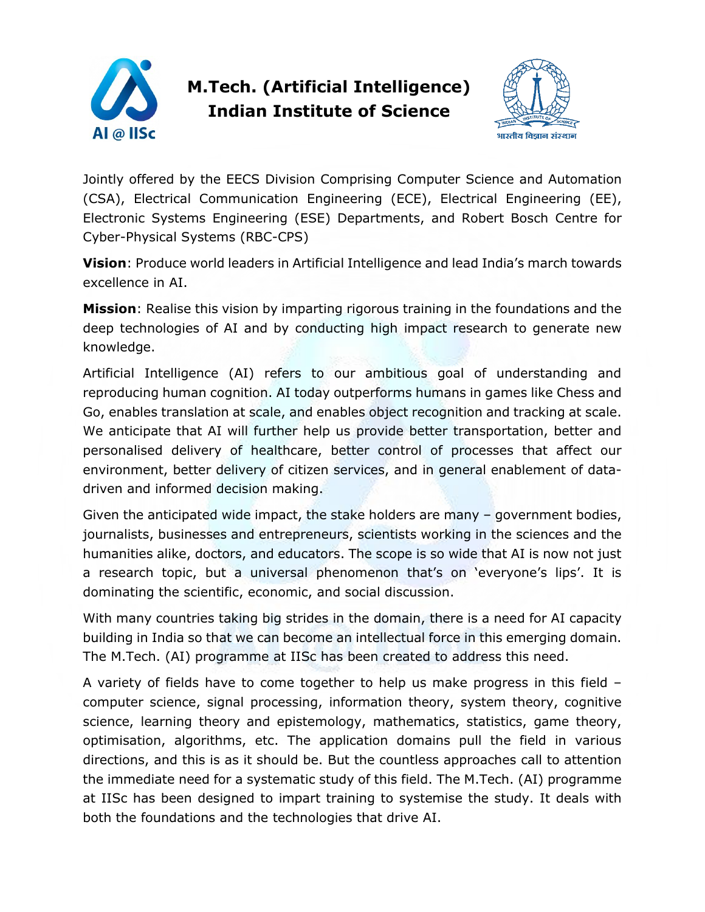

## **M.Tech. (Artificial Intelligence) Indian Institute of Science**



Jointly offered by the EECS Division Comprising Computer Science and Automation (CSA), Electrical Communication Engineering (ECE), Electrical Engineering (EE), Electronic Systems Engineering (ESE) Departments, and Robert Bosch Centre for Cyber-Physical Systems (RBC-CPS)

**Vision**: Produce world leaders in Artificial Intelligence and lead India's march towards excellence in AI.

**Mission**: Realise this vision by imparting rigorous training in the foundations and the deep technologies of AI and by conducting high impact research to generate new knowledge.

Artificial Intelligence (AI) refers to our ambitious goal of understanding and reproducing human cognition. AI today outperforms humans in games like Chess and Go, enables translation at scale, and enables object recognition and tracking at scale. We anticipate that AI will further help us provide better transportation, better and personalised delivery of healthcare, better control of processes that affect our environment, better delivery of citizen services, and in general enablement of datadriven and informed decision making.

Given the anticipated wide impact, the stake holders are many – government bodies, journalists, businesses and entrepreneurs, scientists working in the sciences and the humanities alike, doctors, and educators. The scope is so wide that AI is now not just a research topic, but a universal phenomenon that's on 'everyone's lips'. It is dominating the scientific, economic, and social discussion.

With many countries taking big strides in the domain, there is a need for AI capacity building in India so that we can become an intellectual force in this emerging domain. The M.Tech. (AI) programme at IISc has been created to address this need.

A variety of fields have to come together to help us make progress in this field – computer science, signal processing, information theory, system theory, cognitive science, learning theory and epistemology, mathematics, statistics, game theory, optimisation, algorithms, etc. The application domains pull the field in various directions, and this is as it should be. But the countless approaches call to attention the immediate need for a systematic study of this field. The M.Tech. (AI) programme at IISc has been designed to impart training to systemise the study. It deals with both the foundations and the technologies that drive AI.